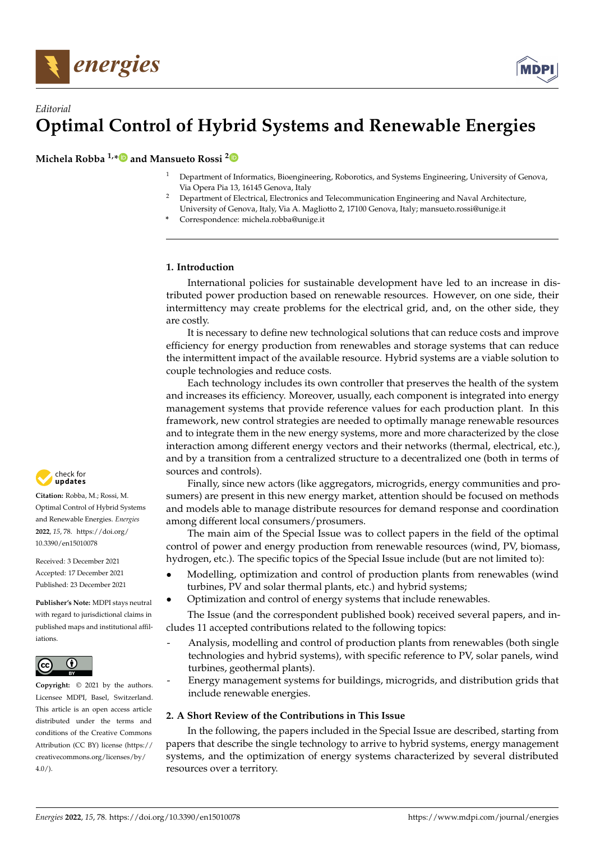



## *Editorial* **Optimal Control of Hybrid Systems and Renewable Energies**

**Michela Robba 1,[\\*](https://orcid.org/0000-0002-0032-9493) and Mansueto Rossi [2](https://orcid.org/0000-0001-6137-9454)**

- <sup>1</sup> Department of Informatics, Bioengineering, Roborotics, and Systems Engineering, University of Genova, Via Opera Pia 13, 16145 Genova, Italy
- <sup>2</sup> Department of Electrical, Electronics and Telecommunication Engineering and Naval Architecture, University of Genova, Italy, Via A. Magliotto 2, 17100 Genova, Italy; mansueto.rossi@unige.it
- **\*** Correspondence: michela.robba@unige.it

## **1. Introduction**

International policies for sustainable development have led to an increase in distributed power production based on renewable resources. However, on one side, their intermittency may create problems for the electrical grid, and, on the other side, they are costly.

It is necessary to define new technological solutions that can reduce costs and improve efficiency for energy production from renewables and storage systems that can reduce the intermittent impact of the available resource. Hybrid systems are a viable solution to couple technologies and reduce costs.

Each technology includes its own controller that preserves the health of the system and increases its efficiency. Moreover, usually, each component is integrated into energy management systems that provide reference values for each production plant. In this framework, new control strategies are needed to optimally manage renewable resources and to integrate them in the new energy systems, more and more characterized by the close interaction among different energy vectors and their networks (thermal, electrical, etc.), and by a transition from a centralized structure to a decentralized one (both in terms of sources and controls).

Finally, since new actors (like aggregators, microgrids, energy communities and prosumers) are present in this new energy market, attention should be focused on methods and models able to manage distribute resources for demand response and coordination among different local consumers/prosumers.

The main aim of the Special Issue was to collect papers in the field of the optimal control of power and energy production from renewable resources (wind, PV, biomass, hydrogen, etc.). The specific topics of the Special Issue include (but are not limited to):

- Modelling, optimization and control of production plants from renewables (wind turbines, PV and solar thermal plants, etc.) and hybrid systems;
- Optimization and control of energy systems that include renewables.

The Issue (and the correspondent published book) received several papers, and includes 11 accepted contributions related to the following topics:

- Analysis, modelling and control of production plants from renewables (both single technologies and hybrid systems), with specific reference to PV, solar panels, wind turbines, geothermal plants).
- Energy management systems for buildings, microgrids, and distribution grids that include renewable energies.

## **2. A Short Review of the Contributions in This Issue**

In the following, the papers included in the Special Issue are described, starting from papers that describe the single technology to arrive to hybrid systems, energy management systems, and the optimization of energy systems characterized by several distributed resources over a territory.



**Citation:** Robba, M.; Rossi, M. Optimal Control of Hybrid Systems and Renewable Energies. *Energies* **2022**, *15*, 78. [https://doi.org/](https://doi.org/10.3390/en15010078) [10.3390/en15010078](https://doi.org/10.3390/en15010078)

Received: 3 December 2021 Accepted: 17 December 2021 Published: 23 December 2021

**Publisher's Note:** MDPI stays neutral with regard to jurisdictional claims in published maps and institutional affiliations.



**Copyright:** © 2021 by the authors. Licensee MDPI, Basel, Switzerland. This article is an open access article distributed under the terms and conditions of the Creative Commons Attribution (CC BY) license [\(https://](https://creativecommons.org/licenses/by/4.0/) [creativecommons.org/licenses/by/](https://creativecommons.org/licenses/by/4.0/)  $4.0/$ ).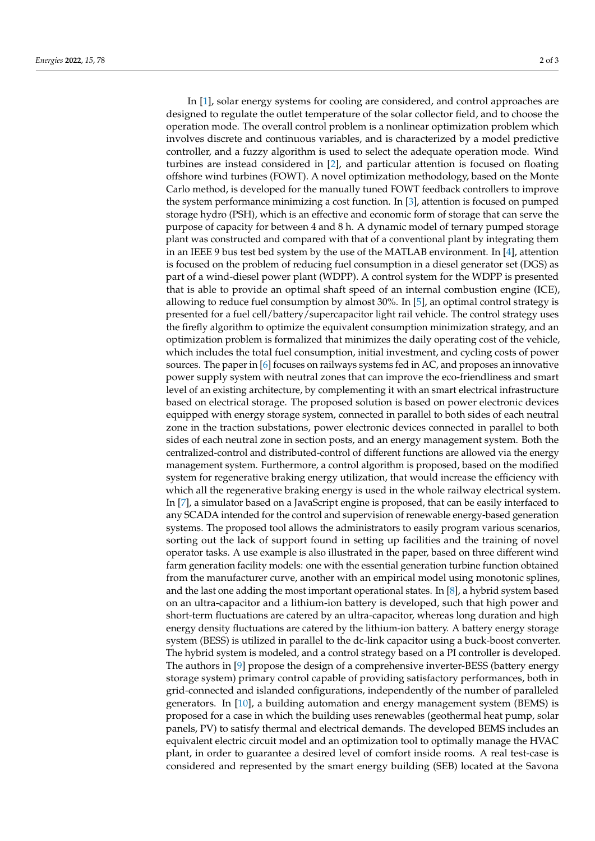In [\[1\]](#page-2-0), solar energy systems for cooling are considered, and control approaches are designed to regulate the outlet temperature of the solar collector field, and to choose the operation mode. The overall control problem is a nonlinear optimization problem which involves discrete and continuous variables, and is characterized by a model predictive controller, and a fuzzy algorithm is used to select the adequate operation mode. Wind turbines are instead considered in [\[2\]](#page-2-1), and particular attention is focused on floating offshore wind turbines (FOWT). A novel optimization methodology, based on the Monte Carlo method, is developed for the manually tuned FOWT feedback controllers to improve the system performance minimizing a cost function. In [\[3\]](#page-2-2), attention is focused on pumped storage hydro (PSH), which is an effective and economic form of storage that can serve the purpose of capacity for between 4 and 8 h. A dynamic model of ternary pumped storage plant was constructed and compared with that of a conventional plant by integrating them in an IEEE 9 bus test bed system by the use of the MATLAB environment. In [\[4\]](#page-2-3), attention is focused on the problem of reducing fuel consumption in a diesel generator set (DGS) as part of a wind-diesel power plant (WDPP). A control system for the WDPP is presented that is able to provide an optimal shaft speed of an internal combustion engine (ICE), allowing to reduce fuel consumption by almost 30%. In [\[5\]](#page-2-4), an optimal control strategy is presented for a fuel cell/battery/supercapacitor light rail vehicle. The control strategy uses the firefly algorithm to optimize the equivalent consumption minimization strategy, and an optimization problem is formalized that minimizes the daily operating cost of the vehicle, which includes the total fuel consumption, initial investment, and cycling costs of power sources. The paper in [\[6\]](#page-2-5) focuses on railways systems fed in AC, and proposes an innovative power supply system with neutral zones that can improve the eco-friendliness and smart level of an existing architecture, by complementing it with an smart electrical infrastructure based on electrical storage. The proposed solution is based on power electronic devices equipped with energy storage system, connected in parallel to both sides of each neutral zone in the traction substations, power electronic devices connected in parallel to both sides of each neutral zone in section posts, and an energy management system. Both the centralized-control and distributed-control of different functions are allowed via the energy management system. Furthermore, a control algorithm is proposed, based on the modified system for regenerative braking energy utilization, that would increase the efficiency with which all the regenerative braking energy is used in the whole railway electrical system. In [\[7\]](#page-2-6), a simulator based on a JavaScript engine is proposed, that can be easily interfaced to any SCADA intended for the control and supervision of renewable energy-based generation systems. The proposed tool allows the administrators to easily program various scenarios, sorting out the lack of support found in setting up facilities and the training of novel operator tasks. A use example is also illustrated in the paper, based on three different wind farm generation facility models: one with the essential generation turbine function obtained from the manufacturer curve, another with an empirical model using monotonic splines, and the last one adding the most important operational states. In [\[8\]](#page-2-7), a hybrid system based on an ultra-capacitor and a lithium-ion battery is developed, such that high power and short-term fluctuations are catered by an ultra-capacitor, whereas long duration and high energy density fluctuations are catered by the lithium-ion battery. A battery energy storage system (BESS) is utilized in parallel to the dc-link capacitor using a buck-boost converter. The hybrid system is modeled, and a control strategy based on a PI controller is developed. The authors in [\[9\]](#page-2-8) propose the design of a comprehensive inverter-BESS (battery energy storage system) primary control capable of providing satisfactory performances, both in grid-connected and islanded configurations, independently of the number of paralleled generators. In [\[10\]](#page-2-9), a building automation and energy management system (BEMS) is proposed for a case in which the building uses renewables (geothermal heat pump, solar panels, PV) to satisfy thermal and electrical demands. The developed BEMS includes an equivalent electric circuit model and an optimization tool to optimally manage the HVAC plant, in order to guarantee a desired level of comfort inside rooms. A real test-case is considered and represented by the smart energy building (SEB) located at the Savona